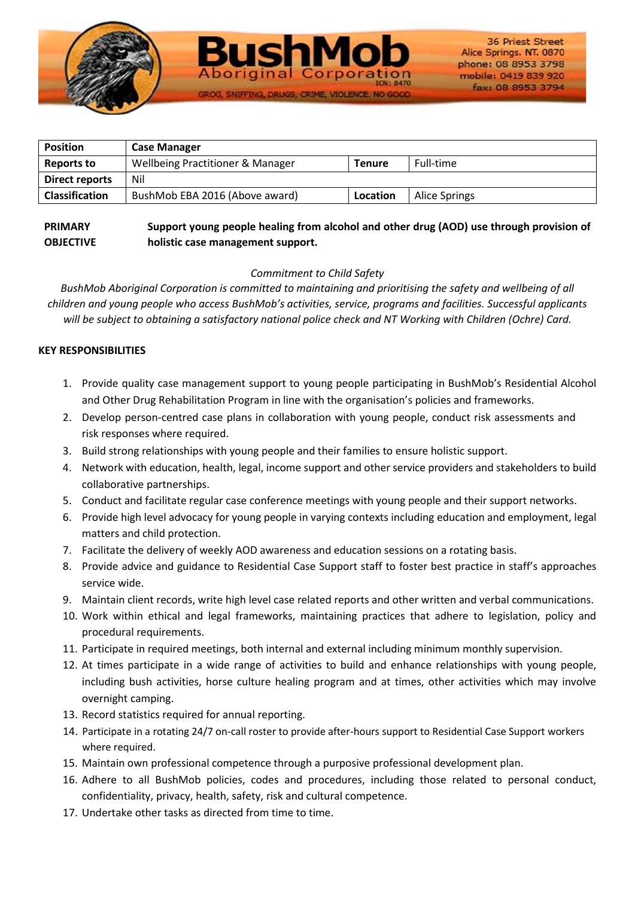

| <b>Position</b>       | <b>Case Manager</b>                         |               |               |
|-----------------------|---------------------------------------------|---------------|---------------|
| Reports to            | <b>Wellbeing Practitioner &amp; Manager</b> | <b>Tenure</b> | Full-time     |
| Direct reports        | Nil                                         |               |               |
| <b>Classification</b> | BushMob EBA 2016 (Above award)              | Location      | Alice Springs |

SNIFFING, DRUGS, CRIME, VIOLENC

#### **PRIMARY OBJECTIVE Support young people healing from alcohol and other drug (AOD) use through provision of holistic case management support.**

# *Commitment to Child Safety*

*BushMob Aboriginal Corporation is committed to maintaining and prioritising the safety and wellbeing of all children and young people who access BushMob's activities, service, programs and facilities. Successful applicants will be subject to obtaining a satisfactory national police check and NT Working with Children (Ochre) Card.*

## **KEY RESPONSIBILITIES**

- 1. Provide quality case management support to young people participating in BushMob's Residential Alcohol and Other Drug Rehabilitation Program in line with the organisation's policies and frameworks.
- 2. Develop person-centred case plans in collaboration with young people, conduct risk assessments and risk responses where required.
- 3. Build strong relationships with young people and their families to ensure holistic support.
- 4. Network with education, health, legal, income support and other service providers and stakeholders to build collaborative partnerships.
- 5. Conduct and facilitate regular case conference meetings with young people and their support networks.
- 6. Provide high level advocacy for young people in varying contexts including education and employment, legal matters and child protection.
- 7. Facilitate the delivery of weekly AOD awareness and education sessions on a rotating basis.
- 8. Provide advice and guidance to Residential Case Support staff to foster best practice in staff's approaches service wide.
- 9. Maintain client records, write high level case related reports and other written and verbal communications.
- 10. Work within ethical and legal frameworks, maintaining practices that adhere to legislation, policy and procedural requirements.
- 11. Participate in required meetings, both internal and external including minimum monthly supervision.
- 12. At times participate in a wide range of activities to build and enhance relationships with young people, including bush activities, horse culture healing program and at times, other activities which may involve overnight camping.
- 13. Record statistics required for annual reporting.
- 14. Participate in a rotating 24/7 on-call roster to provide after-hours support to Residential Case Support workers where required.
- 15. Maintain own professional competence through a purposive professional development plan.
- 16. Adhere to all BushMob policies, codes and procedures, including those related to personal conduct, confidentiality, privacy, health, safety, risk and cultural competence.
- 17. Undertake other tasks as directed from time to time.